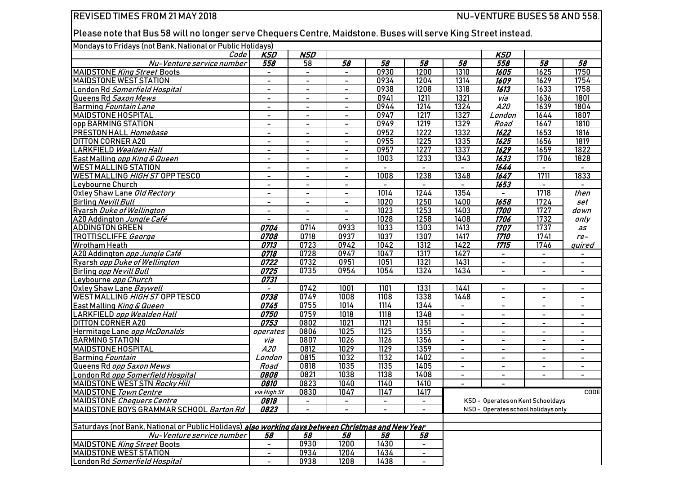## REVISED TIMES FROM 21 MAY 2018 2008 2008 NU-VENTURE BUSES 58 AND 558.

Please note that Bus 58 will no longer serve Chequers Centre, Maidstone. Buses will serve King Street instead.

## Mondays to Fridays (not Bank, National or Public Holidays)

| <u>Mondays to Findays thot Darin, National OFF dotion lotildays</u><br>Code                        | <b>KSD</b>                   | <b>NSD</b>               |                          |                |                          |                                     | <b>KSD</b>                 |                          |                          |  |
|----------------------------------------------------------------------------------------------------|------------------------------|--------------------------|--------------------------|----------------|--------------------------|-------------------------------------|----------------------------|--------------------------|--------------------------|--|
| Nu-Venture service number                                                                          | 558                          | 58                       | 58                       | 58             | $\overline{58}$          | 58                                  | 558                        | 58                       | 58                       |  |
| <b>MAIDSTONE King Street Boots</b>                                                                 | $\overline{\phantom{a}}$     | $\blacksquare$           | $\blacksquare$           | 0930           | 1200                     | 1310                                | 1605                       | 1625                     | 1750                     |  |
| <b>MAIDSTONE WEST STATION</b>                                                                      | $\overline{\phantom{0}}$     | $\blacksquare$           | $\blacksquare$           | 0934           | 1204                     | 1314                                | 1609                       | 1629                     | 1754                     |  |
| London Rd Somerfield Hospital                                                                      | $\overline{\phantom{a}}$     | $\blacksquare$           | $\sim$                   | 0938           | 1208                     | 1318                                | $\overline{\frac{1613}{}}$ | 1633                     | 1758                     |  |
| Queens Rd Saxon Mews                                                                               | $\qquad \qquad \blacksquare$ | $\sim$                   | $\blacksquare$           | 0941           | 1211                     | 1321                                | via                        | 1636                     | 1801                     |  |
| Barming Fountain Lane                                                                              | $\blacksquare$               | $\sim$                   | $\blacksquare$           | 0944           | 1214                     | 1324                                | A20                        | 1639                     | 1804                     |  |
| <b>MAIDSTONE HOSPITAL</b>                                                                          | $\overline{\phantom{a}}$     | $\sim$                   | $\overline{\phantom{a}}$ | 0947           | 1217                     | 1327                                | London                     | 1644                     | 1807                     |  |
| opp BARMING STATION                                                                                | $\blacksquare$               | $\blacksquare$           | $\blacksquare$           | 0949           | 1219                     | 1329                                | Road                       | 1647                     | 1810                     |  |
| <b>PRESTON HALL Homebase</b>                                                                       | $\blacksquare$               | $\blacksquare$           | $\blacksquare$           | 0952           | 1222                     | 1332                                | 1622                       | 1653                     | 1816                     |  |
| <b>DITTON CORNER A20</b>                                                                           | $\blacksquare$               | $\blacksquare$           | $\blacksquare$           | 0955           | $\frac{1225}{2}$         | 1335                                | 1625                       | 1656                     | 1819                     |  |
| LARKFIELD Wealden Hall                                                                             | $\overline{\phantom{a}}$     | $\blacksquare$           | $\blacksquare$           | 0957           | 1227                     | 1337                                | 1629                       | 1659                     | 1822                     |  |
| East Malling opp King & Queen                                                                      | $\overline{\phantom{a}}$     | $\blacksquare$           | $\blacksquare$           | 1003           | 1233                     | 1343                                | 1633                       | 1706                     | 1828                     |  |
| <b>WEST MALLING STATION</b>                                                                        | $\overline{\phantom{a}}$     | $\overline{\phantom{a}}$ | $\overline{\phantom{0}}$ | $\blacksquare$ | $\overline{\phantom{a}}$ | $\overline{\phantom{m}}$            | 1644                       | $\overline{\phantom{a}}$ | $\overline{\phantom{a}}$ |  |
| WEST MALLING HIGH ST OPP TESCO                                                                     | $\overline{\phantom{a}}$     | $\blacksquare$           | $\blacksquare$           | 1008           | 1238                     | 1348                                | 1647                       | 1711                     | 1833                     |  |
| Leybourne Church                                                                                   | $\overline{\phantom{a}}$     | $\blacksquare$           | $\sim$                   | $\blacksquare$ | $\blacksquare$           | $\blacksquare$                      | 1653                       | $\blacksquare$           | $\blacksquare$           |  |
| Oxley Shaw Lane Old Rectory                                                                        | $\overline{\phantom{a}}$     | $\overline{\phantom{a}}$ | $\overline{\phantom{a}}$ | 1014           | 1244                     | 1354                                | $\overline{\phantom{a}}$   | 1718                     | then                     |  |
| <b>Birling Nevill Bull</b>                                                                         | $\blacksquare$               | $\blacksquare$           | $\sim$                   | 1020           | 1250                     | 1400                                | 1658                       | 1724                     | set                      |  |
| Ryarsh Duke of Wellington                                                                          | $\blacksquare$               | $\blacksquare$           | $\blacksquare$           | 1023           | 1253                     | 1403                                | <i><b>1700</b></i>         | 1727                     | down                     |  |
| A20 Addington Jungle Café                                                                          | $\blacksquare$               | $\blacksquare$           | $\sim$                   | 1028           | 1258                     | 1408                                | 1706                       | 1732                     | only                     |  |
| <b>ADDINGTON GREEN</b>                                                                             | 0704                         | 0714                     | 0933                     | 1033           | 1303                     | 1413                                | 1707                       | 1737                     | as                       |  |
| TROTTISCLIFFE George                                                                               | 0708                         | 0718                     | 0937                     | 1037           | 1307                     | 1417                                | <i><b>1710</b></i>         | 1741                     | $re-$                    |  |
| Wrotham Heath                                                                                      | 0713                         | 0723                     | 0942                     | 1042           | $\frac{1312}{2}$         | 1422                                | $\overline{1715}$          | 1746                     | quired                   |  |
| A20 Addington opp Jungle Café                                                                      | 0718                         | 0728                     | 0947                     | 1047           | 1317                     | 1427                                | $\blacksquare$             |                          |                          |  |
| Ryarsh opp Duke of Wellington                                                                      | 0722                         | 0732                     | 0951                     | 1051           | 1321                     | 1431                                | $\overline{\phantom{a}}$   | $\overline{\phantom{a}}$ | $\blacksquare$           |  |
| <b>Birling opp Nevill Bull</b>                                                                     | 0725                         | 0735                     | 0954                     | 1054           | 1324                     | 1434                                | $\overline{\phantom{a}}$   | $\blacksquare$           | $\blacksquare$           |  |
| Leybourne opp Church                                                                               | 0731                         |                          |                          |                |                          |                                     |                            |                          |                          |  |
| Oxley Shaw Lane Baywell                                                                            | $\overline{\phantom{a}}$     | 0742                     | 1001                     | 1101           | 1331                     | 1441                                | $\sim$                     | $\equiv$                 | $\blacksquare$           |  |
| WEST MALLING HIGH ST OPP TESCO                                                                     | 0738                         | 0749                     | 1008                     | 1108           | 1338                     | 1448                                | $\mathbf{r}$               | $\blacksquare$           | $\sim$                   |  |
| East Malling King & Queen                                                                          | 0745                         | 0755                     | 1014                     | 1114           | 1344                     | $\sim$                              | $\blacksquare$             | $\overline{\phantom{a}}$ | $\blacksquare$           |  |
| <b>LARKFIELD opp Wealden Hall</b>                                                                  | 0750                         | 0759                     | 1018                     | 1118           | 1348                     | $\sim$                              | $\blacksquare$             | $\blacksquare$           | $\sim$                   |  |
| <b>DITTON CORNER A20</b>                                                                           | 0753                         | 0802                     | 1021                     | 1121           | 1351                     | $\sim$                              | $\sim$                     | $\blacksquare$           | $\blacksquare$           |  |
| Hermitage Lane opp McDonalds                                                                       | operates                     | 0806                     | 1025                     | $\frac{1}{25}$ | 1355                     | $\blacksquare$                      | $\blacksquare$             | $\blacksquare$           | $\blacksquare$           |  |
| <b>BARMING STATION</b>                                                                             | via                          | 0807                     | 1026                     | 1126           | 1356                     | $\blacksquare$                      | $\blacksquare$             | $\overline{\phantom{a}}$ | $\blacksquare$           |  |
| <b>MAIDSTONE HOSPITAL</b>                                                                          | <i>A20</i>                   | 0812                     | 1029                     | 1129           | 1359                     | $\blacksquare$                      | $\blacksquare$             |                          | $\blacksquare$           |  |
| <b>Barming Fountain</b>                                                                            | London                       | 0815                     | 1032                     | 1132           | 1402                     | $\blacksquare$                      | $\blacksquare$             | $\blacksquare$           | $\blacksquare$           |  |
| Queens Rd opp Saxon Mews                                                                           | Road                         | 0818                     | 1035                     | 1135           | 1405                     | $\sim$                              | $\blacksquare$             | $\overline{\phantom{0}}$ | $\blacksquare$           |  |
| London Rd opp Somerfield Hospital                                                                  | 0808                         | 0821                     | 1038                     | 1138           | 1408                     | $\blacksquare$                      | $\blacksquare$             | $\blacksquare$           | $\blacksquare$           |  |
| MAIDSTONE WEST STN Rocky Hill                                                                      | 0810                         | 0823                     | 1040                     | 1140           | 1410                     | $\sim$                              | $\overline{\phantom{a}}$   |                          |                          |  |
| MAIDSTONE Town Centre                                                                              | via High St                  | 0830                     | 1047                     | 1147           | 1417                     |                                     |                            |                          | <b>CODE</b>              |  |
| <b>MAIDSTONE</b> Chequers Centre                                                                   | 0818                         | $\blacksquare$           | $\blacksquare$           | $\blacksquare$ | $\blacksquare$           | KSD - Operates on Kent Schooldays   |                            |                          |                          |  |
| MAIDSTONE BOYS GRAMMAR SCHOOL Barton Rd                                                            | 0823                         | $\blacksquare$           | $\blacksquare$           | $\overline{a}$ | $\blacksquare$           | NSD - Operates school holidays only |                            |                          |                          |  |
|                                                                                                    |                              |                          |                          |                |                          |                                     |                            |                          |                          |  |
| Saturdays (not Bank, National or Public Holidays) also working days between Christmas and New Year |                              |                          |                          |                |                          |                                     |                            |                          |                          |  |
| Nu-Venture service number                                                                          | 58                           | 58                       | 58                       | 58             | 58                       |                                     |                            |                          |                          |  |
| <b>MAIDSTONE King Street Boots</b>                                                                 | $\blacksquare$               | 0930                     | 1200                     | 1430           |                          |                                     |                            |                          |                          |  |
| <b>MAIDSTONE WEST STATION</b>                                                                      | $\blacksquare$               | 0934                     | 1204                     | 1434           | $\blacksquare$           |                                     |                            |                          |                          |  |
| London Rd Somerfield Hospital                                                                      | $\blacksquare$               | 0938                     | 1208                     | 1438           | $\overline{\phantom{a}}$ |                                     |                            |                          |                          |  |